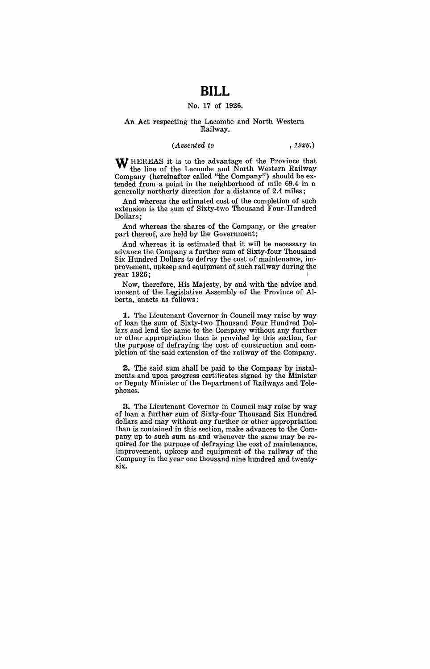# **BILL**

### No. 17 of 1926.

#### An Act respecting the Lacombe and North Western Railway.

#### *(Assented to* , 1926.)

WHEREAS it is to the advantage of the Province that the line of the Lacombe and North Western Railway Company (hereinafter called "the Company") should be extended from a point in the neighborhood of mile 69.4 in a generally northerly direction for a distance of 2.4 miles;

And whereas the estimated cost of the completion of such extension is the sum of Sixty-two Thousand Four. Hundred Dollars;

And whereas the shares of the Company, or the greater part thereof, are held by the Government;

And whereas it is estimated that it will be necessary to advance the Company a further sum of Sixty-four Thousand Six Hundred Dollars to defray the cost of maintenance, improvement, upkeep and equipment of such railway during the year 1926;

Now, therefore, His Majesty, by and with the advice and consent of the Legislative Assembly of the Province of Alberta, enacts as follows:

**1.** The Lieutenant Governor in Council may raise by way of loan the sum of Sixty-two Thousand Four Hundred Dollars and lend the same to the Company without any further or other appropriation than is provided by this section, for the purpose of defraying the cost of construction and completion of the said extension of the railway of the Company.

2. The said sum shall be paid to the Company by instalments and upon progress certificates signed by the Minister or Deputy Minister of the Department of Railways and Telephones.

3. The Lieutenant Governor in Council may raise by way of loan a further sum of Sixty-four Thousand Six Hundred dollars and may without any further or other appropriation than is contained in this section, make advances to the Company up to such sum as and whenever the same may be required for the purpose of defraying the cost of maintenance, improvement, upkeep and equipment of the railway of the Company in the year one thousand nine hundred and twentysix.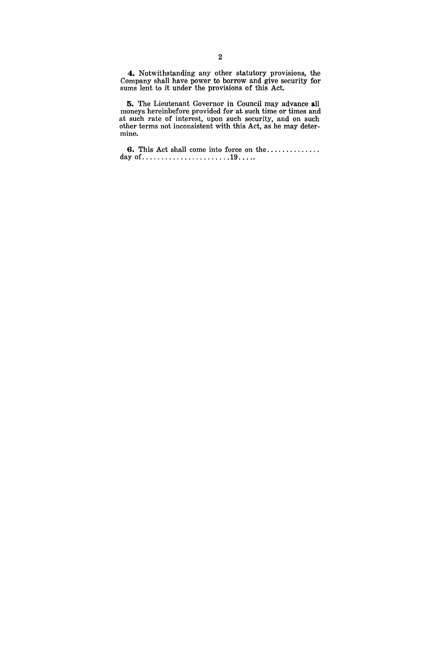**4.** Notwithstanding any other statutory provisions, the Company shall have power to borrow and give security for sums lent to it under the provisions of this Act.

**5.** The Lieutenant Governor in Council may advance **all**  moneys hereinbefore provided for at such time or times and at such rate of interest, upon such security, and on such other terms not inconsistent with this' Act, as he may determine.

**6.** This Act shall come into force on the ............. . day of ....................... 19 .... .